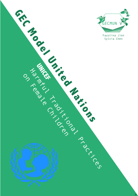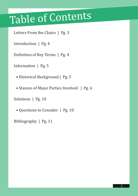## Table of Contents

Letters From the Chairs | Pg. 3

Introduction | Pg. 4

Definition of Key Terms | Pg. 4

Information | Pg. 5

• Historical Background | Pg. 5

• Stances of Major Parties Involved | Pg. 6

Solutions | Pg. 10

• Questions to Consider | Pg. 10

Bibliography | Pg. 11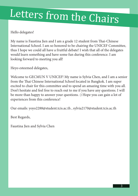# Letters from the Chairs

Hello delegates!

My name is Faustina Jien and I am a grade 12 student from Thai-Chinese International School. I am so honored to be chairing the UNICEF Committee, thus I hope we could all have a fruitful debate! I wish that all of the delegates would learn something and have some fun during this conference. I am looking forward to meeting you all!

Heyo esteemed delegates,

Welcome to GECMUN V UNICEF! My name is Sylvia Chen, and I am a senior from the Thai Chinese International School located in Bangkok. I am super excited to chair for this committee and to spend an amazing time with you all. Don't hesitate and feel free to reach out to me if you have any questions. I will be more than happy to answer your questions. :) Hope you can gain a lot of experiences from this conference!

Our emails: yoyo2288@student.tcis.ac.th , sylvia2170@student.tcis.ac.th

Best Regards,

Faustina Jien and Sylvia Chen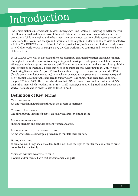## Introduction

The United Nations International Children's Emergency Fund (UNICEF) is trying to better the lives of children in need in different parts of the world. We all share a common goal of advocating the protection of children's rights, and to help meet their basic needs. We hope all delegates prepare and understand their countries' background information thoroughly, in order to be able to yield an effective solution. The UNICEF was established in 1964 to provide food, healthcare, and clothing to help those in need after World War II in Europe. Now, UNICEF works in 190 countries and territories to better children's lives.

In GECMUN V, we will be discussing the topic of harmful traditional practices on female children. Throughout the world, there are issues regarding child marriage, female genital mutilation, honour killings, and violence against women and girls. There are countless countries that are exploiting children due to religious or traditional beliefs that need to be put to an end. According to the 2011 Welfare Monitoring Survey (WMS) report, 23% of female children aged 0 to 14 years experienced FGM/C (female genital mutilation or cutting) nationally on average, as compared to 37.7 (EDHS: 2005) and 51.9% (Ethiopia Demographic and Health Survey 2000). The number has been decreasing since the year 2005 and 2000. The report also shows that FGM/C is more practiced in rural areas at 24% than urban areas which stood in 2011 at 15%. Child marriage is another big traditional practice that UNICEF aims to end in order to help children in need.

### **Definition of Key Terms**

Child marriage An underaged individual going through the process of marriage.

Corporal Punishment The physical punishment of people, especially children, by hitting them.

Female empowerment Showing strength and confidence from women and girls.

FEMALE GENITAL MUTILATION OR CUTTING An act where females undergo a procedure to mutilate their genitals.

Honour Killings When a woman brings shame to a family, the men have the right to murder them in order to bring honor back to the family.

Violence against women and girls Physical and/or mental harm that affects women and girls.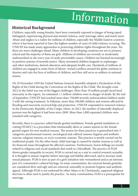## Information

### **Historical Background**

Children, especially young females, have been constantly exposed to danger of being raped, kidnapped, experiencing physical and mental violence, early marriage, labor, and much more. Abuse and neglect is a reality for millions of children, especially the Middle Eastern countries where it has been reported to have the highest number of cases of child violence occuring. The UNICEF has made many approaches to protecting children rights throughout the years. Yet, there are more challenges ahead. Many children in developing countries are not in primary school and the majority of them are girls. Millions of children are severely or moderately malnourished or die every year of easily preventable causes. Children are harmed increasingly in punitive systems of juvenile justice. Many unwanted children languish in orphanages and other institutions, denied education and adequate health care. Hundreds of millions of children are engaged in some form of labour. Armed conflicts around the globe continue to shorten and ruin the lives of millions of children, and they still serve as soldiers in national armies.

On 20 November 1959 the United Nations General Assembly adopted a Declaration of the Rights of the Child during the Convention on the Rights of the Child. The drought crisis 2012 in the Sahel was one of the biggest challenges. More than 18 million people faced food insecurity in the region. An estimated 1.1 million children were in danger of death. By the end of September, UNICEF had reached more than 730,000 severely malnourished children under 5 with life-saving treatment. In Pakistan, more than 100,000 children and women affected by flooding and insecurity received help and protection. UNICEF responded to renewed violence in the Democratic Republic of the Congo, where, in 2012, the number of internally displaced persons was the highest it had been since 2009. More than 3,000 separated children were reunited with caregivers.

Recently, there is a practice called female genital mutilation. Female genital mutilation or cutting (FGM/C) is a procedure that intentionally alters or causes injuries to the female genital organs for non-medical reasons. The reason for these practices is generalized into 5 categories: psychosexual reasons, sociological and cultural reasons, hygiene and aesthetic reasons, religious reasons, or socio-economic reasons. This practice is mostly carried out by traditional people. On the other hand, child marriage is caused by similar reasons as well as for financial issues throughout the affected countries. Furthermore, honor killings are mostly related to religious and social standards that result in a bloodbath. The practice of FGM shows gender inequality in society. FGM is carried out as a way to control women's sexuality. It is thought to ensure virginity before marriage and fidelity afterward, and to increase male sexual pleasure. FGM is seen as part of a girl's initiation into womanhood and as an intrinsic part of a community's cultural heritage. In some communities, the external female genitalia are considered dirty and ugly and are removed, ostensibly to promote hygiene and aesthetic appeal. Although FGM is not endorsed by either Islam or by Christianity, supposed religious doctrine is often used to justify the practice. In many communities, FGM is a prerequisite for marriage.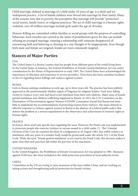Child marriage, defined as marriage of a child under 18 years of age, is a silent and yet widespread practice. A lot of female children were forced into marriage by their family. Many of the reasons were due to poverty, the perception that marriage will provide "protection", social norms, family honor, or religious practices. The act of child marriage is a human rights violation, over 60 million marriages include girls under the age of 18 today.

Honour Killing are committed within families or social groups with the purpose of controlling behaviour. Such murders are carried in the name of proteReasons given for this can include refusing an arranged marriage, entering a relationship with someone disapproved of, renouncing faith and behaving or dressing in a way thought to be inappropriate. Even though both male and female are targeted, female are more commonly targeted.

### **Stances of Major Parties**

#### USA

The United States is a diverse country that has people from different parts of the world living there. In the United States of America, the Federal Prohibition of Female Genital Mutilation Act was under consideration by the House of Representatives in early 1995. The United States have acknowledged the importance of education and awareness to service providers. There have also been countless incidents in the US regarding honor killings and violence against women.

#### RUSSIA

Girls in Russia undergo mutilation in early age, up to three years old. The practice has been publicly approved in the predominantly Muslim region of Dagestan by religious leaders. Girls were falling victim to violence every year and faced cruel treatment from their own relatives. Many cases of female genital mutilation and children trafficking happened in Russia. In 2013, the U.N. Committee on the Elimination of Discrimination against Women (CEDAW Committee) found that Russia had done little to implement the recommendations of protecting women from violence. The main obstacle to effective response to violence against women in Russia is the absence of a federal public policy that defines the problem as a serious impediment to the observance and achievement of women's rights as human rights.

#### FRANCE

In France, there aren't any specific laws regarding the issue. However, the Penal code was implemented to prosecute people who exercise violence or serious assault to a child under 15. The Criminal Division of the Cour de cessation decided, by a judgement in 20 August 1983, that wilful violence or mutilation with any parts of a female's body would be prosecuted under the article 312-3 of the Penal Code. While the term "female genital mutilation" is not used in the Penal Code, this decision makes it quite clear that such practices fall within the purview of the enactment.

#### UNITED KINGDOM

In the United Kingdom, the Prohibition of Female Circumcision Act was adopted in 1985. Measures against FGM have also been included in the child protection procedures at local authority levels.

#### **CHINA**

Committees in the UN are trying to raise awareness of the issue within China, and are working on taking actions and strengthening judicial protection for female victims.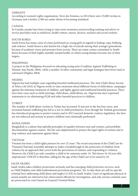#### GERMANY

According to women's rights organisation, Terre des Femmes, in 2014 there were 25,000 victims in Germany and a further 2,500 are under threat of becoming mutilated.

#### CANADA

In Canada, people have been trying to raise more awareness and providing training and advice to service providers such as midwives, health visitors, nurses, doctors, teachers and social workers.

#### SOUTH KOREA

South Korea has many cases of crime performed on young girls in regards to kidnap, rape, bullying, and violence. South Korea is also known for a high rate of suicide among their younger generations because of academic stress and pressure from society. There are many crimes committed in South Korea because of their highly unstable mental health, in which young females become one of their targets.

#### PHILIPPINES

A project in the Philippines focused on educating young men (Coalition Against Trafficking in Women Asia Pacific 2006), while a number of other community and legal strategies have been tried or canvassed (Hughes 2004).

#### NIGERIA

Nigeria has had multiple cases regarding harmful traditional practices. The Anti-Child Abuse Society of Africa (ACASA) in Nigeria works to raise awareness about different forms of child abuse, campaigns against the inhuman treatment of children ,and fights against and traditional harmful practices. There have been cases such as child marriage, child abuse, child labour, etc. Nigeria has since expressed statements to try eliminating FGM and other harmful practices to children.

#### **TURKEY**

The number of child abuse victims in Turkey has increased 33 percent in the last four years, and increased human trafficking has led to a rise in child prostitution. Even though the Turkish government has introduced programs to protect women and in 2012 enacted domestic violence legislation, the laws are not enforced and actions to protect children were minimally performed.

#### BANGLADESH

Bangladesh is a nation that upholds principles of equality between men and women, and prohibits discrimination against women. The law was implemented to protect the legal rights of women and to stop violence and repression against them.

#### VIETNAM

Vietnam has been a child rights pioneer for over 25 years. The recent enactment of the Child Law by Vietnam's National Assembly attempts to make a breakthrough in the protection of children from violence by an approach that covers both the prevention of violence and responding to violence. However, the Child Law only considers a child to be someone under 16. This leaves 16-18 year olds unprotected. UNICEF is therefore calling for the age of the Child Law to be raised to 18.

#### SAUDI ARABIA

Saudi Arabia takes children protections seriously and has emerging child protection services, such as Child Helpline and child maltreatment prevention programs. Yet, to date there are still no specific criminal laws addressing child abuse and neglect (CAN) in Saudi Arabia. Cases of significant physical or sexual assaults are referred to law enforcement officials for investigation, and only serious criminal cases are prosecuted in court based on General Criminal Bylaw.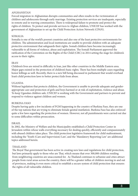#### AFGHANISTAN

Forced migration in Afghanistan disrupts communities and often results in the victimization of children and adolescents through early marriage. Existing protection services are inadequate, especially in remote and in warring communities. There is widespread failure to promote and protect the rights of children. To protect and provide services to Afghan children, UNICEF has worked with the government of Afghanistan to set up the Child Protection Action Network (CPAN).

#### SOMALIA

Somalia is one of the world's poorest countries and also one of the least protective environments for children. The administration and local institutions are unable to provide children with an adequate protective environment that safeguards their rights. Somali children have become increasingly vulnerable to all forms of violence, abuse and exploitation. The Somali Parliament approved the ratification of the Convention on the Rights of the Child (CRC) in 2014 setting the stage for children's access to their rights.

#### IRAN

Children's lives are mired in difficulty in Iran, just like other countries in the Middle Eastern area. Major gaps existed in the protection of children's basic rights. There has been multiple cases regarding honor killings as well. Recently, there is a new bill being discussed in parliament that would overhaul Iran's child protection laws to better protect kids from abuse.

#### UGANDA

Without legislation that protects children, the Government is unable to provide adequate and genderappropriate care and protection of girls and boys harmed or at risk of exploitation, violence and abuse. To keep Ugandan children safe, UNICEF is working with the Government and partners to prevent and respond to violence against children and women.

#### BURKINA FASO

Despite having quite a few incidents of FGM happening in the country of Burkina Faso, they are one of the top nations that are trying to eliminate female genital mutilation. Burkina Faso has also enforced quite a few laws regarding the protection of women. However, not all punishments were carried out due to some difficulties within prosecution.

#### ISRAEL

In 2002, the Ministry of Welfare and the Municipality established a Child Protection Center in Jerusalem within whose walls everything necessary for dealing quickly, efficiently and compassionately with abused children takes place. The child protection legislative framework for child maltreatment, including the 'Youth (Care and Supervision) Law', and the 'Mandatory Reporting Law' are additional topics addressed herein.

#### THAILAND

The Royal Thai government has been active in creating new laws and regulations for child protection, but laws primarily apply to those who are Thai, which means that over 300,000 children residing from neighboring countries are unaccounted for. As Thailand continues to urbanize and cities attract people from rural areas across the country, there will be a greater influx of children moving in and out of provinces, making it even more critical to establish a secure system of child protection that ensures the rights of all vulnerable children.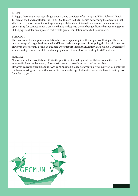#### **EGYPT**

In Egypt, there was a case regarding a doctor being convicted of carrying out FGM. Sohair al-Bata'a, 13, died at the hands of Raslan Fadl in 2013, although Fadl still denies performing the operation that killed her. Her case prompted outrage among both local and international observers, seen as a rare opportunity for conviction for a practice that is widespread despite being officially banned in Egypt in 2008.Egypt has later on expressed that female genital mutilation needs to be eliminated.

#### **ETHIOPIA**

The practice of female genital mutilation has been happening in different parts of Ethiopia. There have been a non-profit organization called KMG has made some progress in stopping this harmful practice. However, there are still people in Ethiopia who support this idea. In Ethiopia as a whole, 74 percent of women and girls were mutilated out of a population of 94 million, according to 2005 statistics.

#### NORWAY

Norway alerted all hospitals in 1985 to the practices of female genital mutilation. While there aren't any specific laws implemented, Norway still wants to provide as much aid as possible. However, educating people about FGM continues to be a key policy for Norway. Norway also enforced the law of making sure those that commit crimes such as genital mutilation would have to go to prison for at least 6 years.

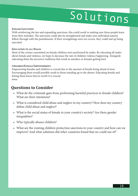# Solutions

#### **Expand Sanctions**

With reinforcing the law and expanding sanctions, this could result in making sure these people learn from their mistakes. The sanctions could also be strengthened and make sure individual nations follow through with the punishments. If their wrongdoings were too severe, they could end up being executed.

#### **Education to all Males**

Most of the crimes committed on female children were performed by males. By educating all males about female and violence, we hope to decrease the rate of children violence happening. Alongside educating them the incorrect traditions that result in murders or females getting hurt.

#### **Children/Female Empowerment**

Empowering females and children is crucial due to the amount of female being afraid of men. Encouraging them would possibly result in them standing up to the abuser. Educating female and letting them know they're worth it is crucial. issue.

### **Questions to Consider**

- What do the criminals gain from performing harmful practices to female children? What are their intentions?
- What is considered child abuse and neglect in my country? How does my country define child abuse and neglect?
- What is the social status of female in your country's society? Are there gender inequalities?
- Who typically abuses children?
- What are the existing children protection sanctions in your country and how can we improve? And what solutions did other countries found that we could use of?